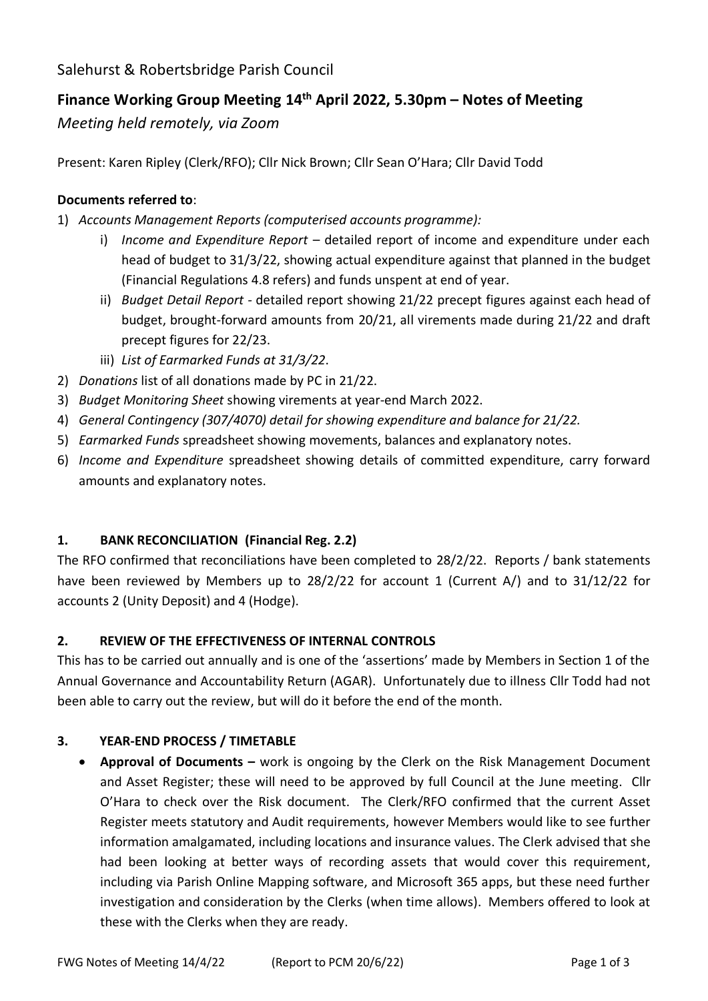Salehurst & Robertsbridge Parish Council

# **Finance Working Group Meeting 14 th April 2022, 5.30pm – Notes of Meeting**

*Meeting held remotely, via Zoom*

Present: Karen Ripley (Clerk/RFO); Cllr Nick Brown; Cllr Sean O'Hara; Cllr David Todd

# **Documents referred to**:

- 1) *Accounts Management Reports (computerised accounts programme):*
	- i) *Income and Expenditure Report* detailed report of income and expenditure under each head of budget to 31/3/22, showing actual expenditure against that planned in the budget (Financial Regulations 4.8 refers) and funds unspent at end of year.
	- ii) *Budget Detail Report -* detailed report showing 21/22 precept figures against each head of budget, brought-forward amounts from 20/21, all virements made during 21/22 and draft precept figures for 22/23.
	- iii) *List of Earmarked Funds at 31/3/22*.
- 2) *Donations* list of all donations made by PC in 21/22.
- 3) *Budget Monitoring Sheet* showing virements at year-end March 2022.
- 4) *General Contingency (307/4070) detail for showing expenditure and balance for 21/22.*
- 5) *Earmarked Funds* spreadsheet showing movements, balances and explanatory notes.
- 6) *Income and Expenditure* spreadsheet showing details of committed expenditure, carry forward amounts and explanatory notes.

## **1. BANK RECONCILIATION (Financial Reg. 2.2)**

The RFO confirmed that reconciliations have been completed to 28/2/22. Reports / bank statements have been reviewed by Members up to 28/2/22 for account 1 (Current A/) and to 31/12/22 for accounts 2 (Unity Deposit) and 4 (Hodge).

## **2. REVIEW OF THE EFFECTIVENESS OF INTERNAL CONTROLS**

This has to be carried out annually and is one of the 'assertions' made by Members in Section 1 of the Annual Governance and Accountability Return (AGAR). Unfortunately due to illness Cllr Todd had not been able to carry out the review, but will do it before the end of the month.

## **3. YEAR-END PROCESS / TIMETABLE**

• **Approval of Documents –** work is ongoing by the Clerk on the Risk Management Document and Asset Register; these will need to be approved by full Council at the June meeting. Cllr O'Hara to check over the Risk document. The Clerk/RFO confirmed that the current Asset Register meets statutory and Audit requirements, however Members would like to see further information amalgamated, including locations and insurance values. The Clerk advised that she had been looking at better ways of recording assets that would cover this requirement, including via Parish Online Mapping software, and Microsoft 365 apps, but these need further investigation and consideration by the Clerks (when time allows). Members offered to look at these with the Clerks when they are ready.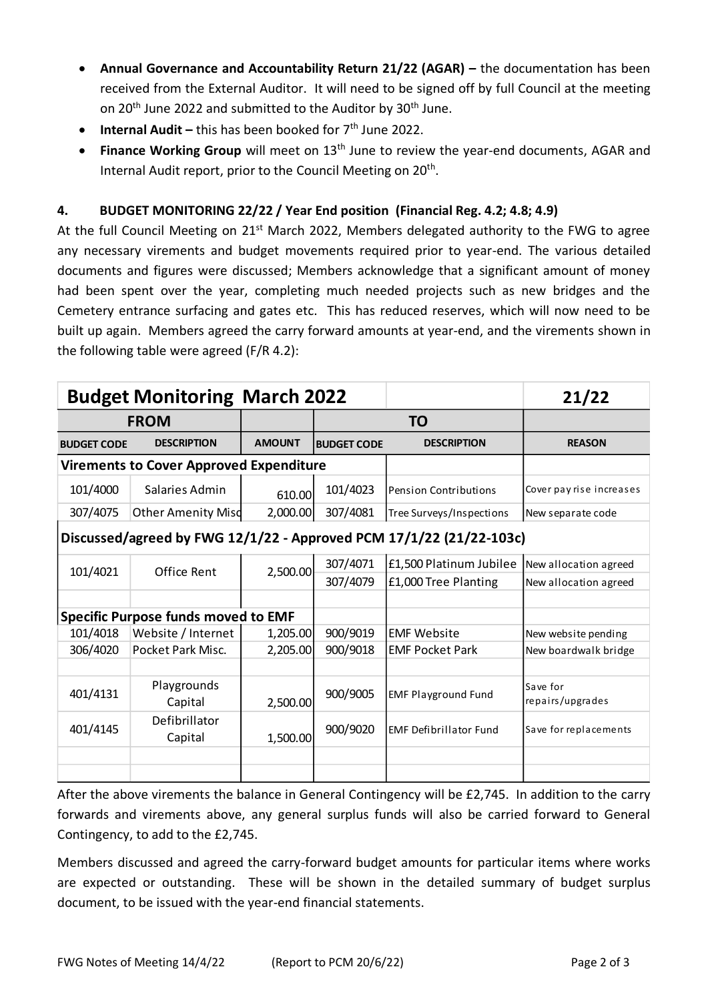- Annual Governance and Accountability Return 21/22 (AGAR) the documentation has been received from the External Auditor. It will need to be signed off by full Council at the meeting on 20<sup>th</sup> June 2022 and submitted to the Auditor by 30<sup>th</sup> June.
- **Internal Audit** this has been booked for 7<sup>th</sup> June 2022.
- **Finance Working Group** will meet on 13<sup>th</sup> June to review the year-end documents, AGAR and Internal Audit report, prior to the Council Meeting on 20<sup>th</sup>.

# **4. BUDGET MONITORING 22/22 / Year End position (Financial Reg. 4.2; 4.8; 4.9)**

At the full Council Meeting on 21<sup>st</sup> March 2022, Members delegated authority to the FWG to agree any necessary virements and budget movements required prior to year-end. The various detailed documents and figures were discussed; Members acknowledge that a significant amount of money had been spent over the year, completing much needed projects such as new bridges and the Cemetery entrance surfacing and gates etc. This has reduced reserves, which will now need to be built up again. Members agreed the carry forward amounts at year-end, and the virements shown in the following table were agreed (F/R 4.2):

|                                                                     | <b>Budget Monitoring March 2022</b> |               |                    |                               | 21/22                        |
|---------------------------------------------------------------------|-------------------------------------|---------------|--------------------|-------------------------------|------------------------------|
| <b>FROM</b>                                                         |                                     |               | <b>TO</b>          |                               |                              |
| <b>BUDGET CODE</b>                                                  | <b>DESCRIPTION</b>                  | <b>AMOUNT</b> | <b>BUDGET CODE</b> | <b>DESCRIPTION</b>            | <b>REASON</b>                |
| <b>Virements to Cover Approved Expenditure</b>                      |                                     |               |                    |                               |                              |
| 101/4000                                                            | Salaries Admin                      | 610.00        | 101/4023           | <b>Pension Contributions</b>  | Cover pay rise increases     |
| 307/4075                                                            | <b>Other Amenity Misd</b>           | 2,000.00      | 307/4081           | Tree Surveys/Inspections      | New separate code            |
| Discussed/agreed by FWG 12/1/22 - Approved PCM 17/1/22 (21/22-103c) |                                     |               |                    |                               |                              |
| 101/4021                                                            | Office Rent                         | 2,500.00      | 307/4071           | £1,500 Platinum Jubilee       | New allocation agreed        |
|                                                                     |                                     |               | 307/4079           | £1,000 Tree Planting          | New allocation agreed        |
|                                                                     |                                     |               |                    |                               |                              |
| <b>Specific Purpose funds moved to EMF</b>                          |                                     |               |                    |                               |                              |
| 101/4018                                                            | Website / Internet                  | 1,205.00      | 900/9019           | <b>EMF Website</b>            | New website pending          |
| 306/4020                                                            | Pocket Park Misc.                   | 2,205.00      | 900/9018           | <b>EMF Pocket Park</b>        | New boardwalk bridge         |
|                                                                     |                                     |               |                    |                               |                              |
| 401/4131                                                            | Playgrounds<br>Capital              | 2,500.00      | 900/9005           | <b>EMF Playground Fund</b>    | Save for<br>repairs/upgrades |
| 401/4145                                                            | Defibrillator<br>Capital            | 1,500.00      | 900/9020           | <b>EMF Defibrillator Fund</b> | Save for replacements        |
|                                                                     |                                     |               |                    |                               |                              |
|                                                                     |                                     |               |                    |                               |                              |

After the above virements the balance in General Contingency will be £2,745. In addition to the carry forwards and virements above, any general surplus funds will also be carried forward to General Contingency, to add to the £2,745.

Members discussed and agreed the carry-forward budget amounts for particular items where works are expected or outstanding. These will be shown in the detailed summary of budget surplus document, to be issued with the year-end financial statements.